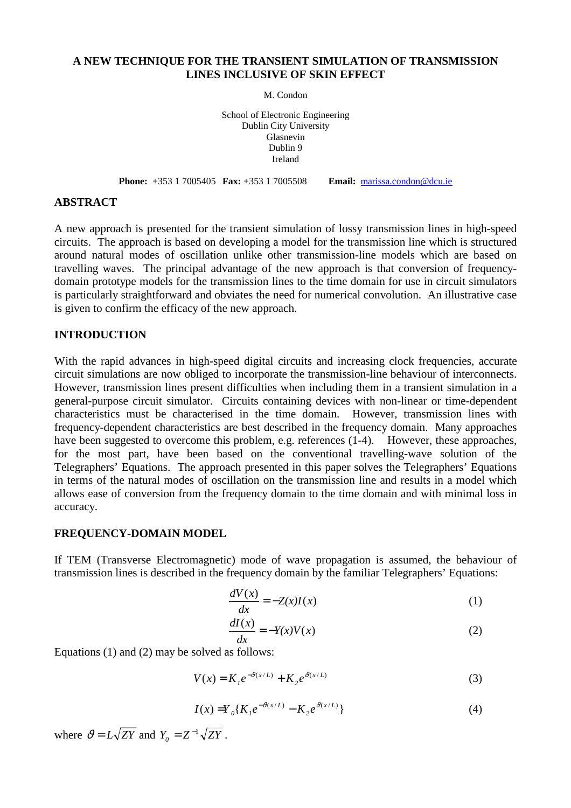# **A NEW TECHNIQUE FOR THE TRANSIENT SIMULATION OF TRANSMISSION LINES INCLUSIVE OF SKIN EFFECT**

M. Condon

School of Electronic Engineering Dublin City University Glasnevin Dublin 9 Ireland

**Phone:** +353 1 7005405 **Fax:** +353 1 7005508 **Email:** [marissa.condon@dcu.ie](mailto:marissa.condon@dcu.ie)

## **ABSTRACT**

A new approach is presented for the transient simulation of lossy transmission lines in high-speed circuits. The approach is based on developing a model for the transmission line which is structured around natural modes of oscillation unlike other transmission-line models which are based on travelling waves. The principal advantage of the new approach is that conversion of frequencydomain prototype models for the transmission lines to the time domain for use in circuit simulators is particularly straightforward and obviates the need for numerical convolution. An illustrative case is given to confirm the efficacy of the new approach.

## **INTRODUCTION**

With the rapid advances in high-speed digital circuits and increasing clock frequencies, accurate circuit simulations are now obliged to incorporate the transmission-line behaviour of interconnects. However, transmission lines present difficulties when including them in a transient simulation in a general-purpose circuit simulator. Circuits containing devices with non-linear or time-dependent characteristics must be characterised in the time domain. However, transmission lines with frequency-dependent characteristics are best described in the frequency domain. Many approaches have been suggested to overcome this problem, e.g. references  $(1-4)$ . However, these approaches, for the most part, have been based on the conventional travelling-wave solution of the Telegraphers' Equations. The approach presented in this paper solves the Telegraphers' Equations in terms of the natural modes of oscillation on the transmission line and results in a model which allows ease of conversion from the frequency domain to the time domain and with minimal loss in accuracy.

### **FREQUENCY-DOMAIN MODEL**

If TEM (Transverse Electromagnetic) mode of wave propagation is assumed, the behaviour of transmission lines is described in the frequency domain by the familiar Telegraphers' Equations:

$$
\frac{dV(x)}{dx} = -Z(x)I(x) \tag{1}
$$

$$
\frac{dI(x)}{dx} = -Y(x)V(x)
$$
 (2)

Equations (1) and (2) may be solved as follows:

$$
V(x) = K_1 e^{-\vartheta(x/L)} + K_2 e^{\vartheta(x/L)}
$$
 (3)

$$
I(x) = Y_0 \{ K_1 e^{-\vartheta(x/L)} - K_2 e^{\vartheta(x/L)} \}
$$
 (4)

where  $\vartheta = L\sqrt{ZY}$  and  $Y_0 = Z^{-1}\sqrt{ZY}$ .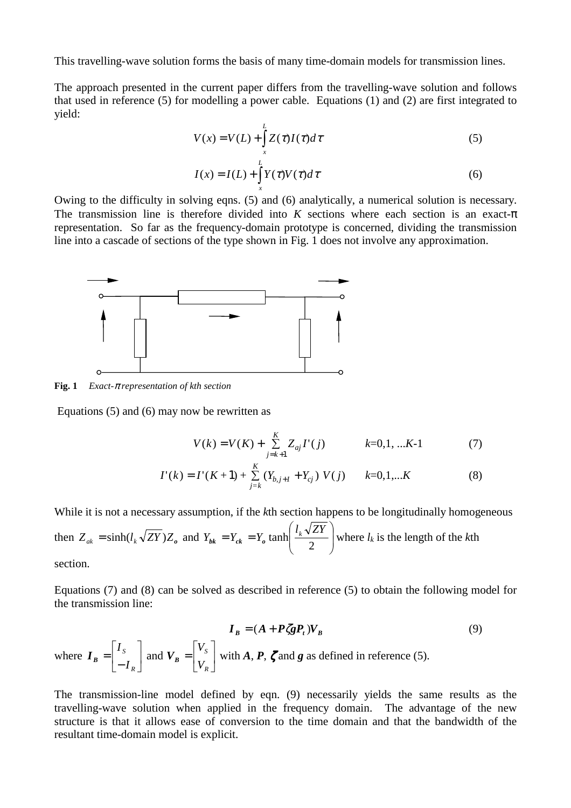This travelling-wave solution forms the basis of many time-domain models for transmission lines.

The approach presented in the current paper differs from the travelling-wave solution and follows that used in reference (5) for modelling a power cable. Equations (1) and (2) are first integrated to yield:

$$
V(x) = V(L) + \int_{x}^{L} Z(\tau)I(\tau)d\tau
$$
\n(5)  
\n
$$
I(x) = I(L) + \int_{x}^{L} Y(\tau)V(\tau)d\tau
$$
\n(6)

Owing to the difficulty in solving eqns. (5) and (6) analytically, a numerical solution is necessary. The transmission line is therefore divided into *K* sections where each section is an exact- $\pi$ representation. So far as the frequency-domain prototype is concerned, dividing the transmission line into a cascade of sections of the type shown in Fig. 1 does not involve any approximation.



**Fig. 1** *Exact-*π *representation of kth section*

Equations (5) and (6) may now be rewritten as

$$
V(k) = V(K) + \sum_{j=k+1}^{K} Z_{aj} I'(j) \qquad k=0,1,...K-1 \tag{7}
$$

$$
I'(k) = I'(K+1) + \sum_{j=k}^{K} (Y_{b,j+1} + Y_{cj}) V(j) \qquad k=0,1,...K
$$
 (8)

While it is not a necessary assumption, if the *k*th section happens to be longitudinally homogeneous then  $Z_{ak} = \sinh(l_k \sqrt{ZY})Z_o$  and  $Y_{bk} = Y_{ck} = Y_o \tanh\left(\frac{l_k \sqrt{Z_I}}{2}\right)$ J  $\backslash$  $\overline{\phantom{a}}$  $Y_{bk} = Y_{ck} = Y_o \tanh\left(\frac{l_k \sqrt{ZY}}{2}\right)$  where  $l_k$  is the length of the *k*th section.

Equations (7) and (8) can be solved as described in reference (5) to obtain the following model for the transmission line:

$$
\boldsymbol{I}_{B} = (A + P \zeta g P_{t}) V_{B}
$$
\nwhere  $\boldsymbol{I}_{B} = \begin{bmatrix} I_{s} \\ -I_{R} \end{bmatrix}$  and  $\boldsymbol{V}_{B} = \begin{bmatrix} V_{s} \\ V_{R} \end{bmatrix}$  with  $A, P, \zeta$  and  $g$  as defined in reference (5). (9)

The transmission-line model defined by eqn. (9) necessarily yields the same results as the travelling-wave solution when applied in the frequency domain. The advantage of the new structure is that it allows ease of conversion to the time domain and that the bandwidth of the resultant time-domain model is explicit.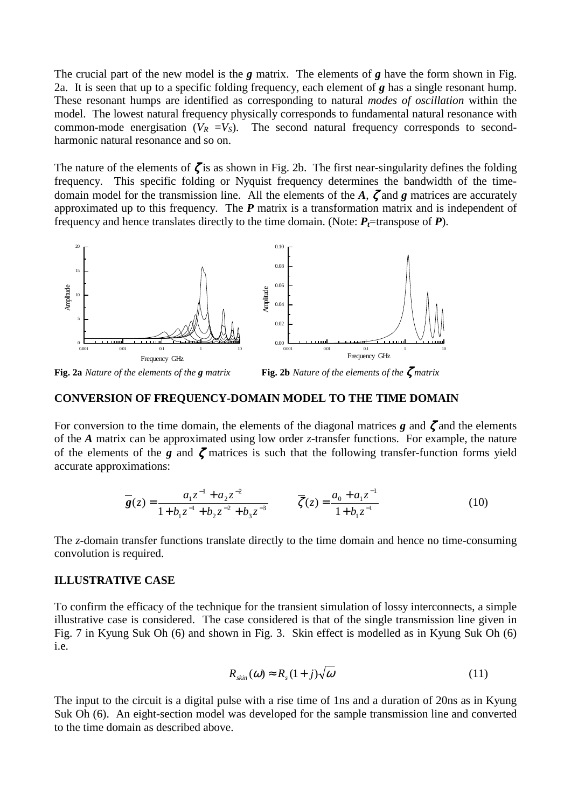The crucial part of the new model is the *g* matrix. The elements of *g* have the form shown in Fig. 2a. It is seen that up to a specific folding frequency, each element of *g* has a single resonant hump. These resonant humps are identified as corresponding to natural *modes of oscillation* within the model. The lowest natural frequency physically corresponds to fundamental natural resonance with common-mode energisation  $(V_R = V_S)$ . The second natural frequency corresponds to secondharmonic natural resonance and so on.

The nature of the elements of  $\zeta$  is as shown in Fig. 2b. The first near-singularity defines the folding frequency. This specific folding or Nyquist frequency determines the bandwidth of the timedomain model for the transmission line. All the elements of the *A*, ζ and *g* matrices are accurately approximated up to this frequency. The *P* matrix is a transformation matrix and is independent of frequency and hence translates directly to the time domain. (Note:  $P_t$ =transpose of *P*).



**Fig. 2a** *Nature of the elements of the g matrix* **Fig. 2b** *Nature of the elements of the* ζ *matrix* 

#### **CONVERSION OF FREQUENCY-DOMAIN MODEL TO THE TIME DOMAIN**

For conversion to the time domain, the elements of the diagonal matrices  $g$  and  $\zeta$  and the elements of the *A* matrix can be approximated using low order *z*-transfer functions. For example, the nature of the elements of the *g* and ζ matrices is such that the following transfer-function forms yield accurate approximations:

$$
\overline{\mathbf{g}}(z) = \frac{a_1 z^{-1} + a_2 z^{-2}}{1 + b_1 z^{-1} + b_2 z^{-2} + b_3 z^{-3}} \qquad \overline{\zeta}(z) = \frac{a_0 + a_1 z^{-1}}{1 + b_1 z^{-1}} \tag{10}
$$

The *z*-domain transfer functions translate directly to the time domain and hence no time-consuming convolution is required.

#### **ILLUSTRATIVE CASE**

To confirm the efficacy of the technique for the transient simulation of lossy interconnects, a simple illustrative case is considered. The case considered is that of the single transmission line given in Fig. 7 in Kyung Suk Oh (6) and shown in Fig. 3. Skin effect is modelled as in Kyung Suk Oh (6) i.e.

$$
R_{\rm skin}(\omega) \approx R_s(1+j)\sqrt{\omega} \tag{11}
$$

The input to the circuit is a digital pulse with a rise time of 1ns and a duration of 20ns as in Kyung Suk Oh (6). An eight-section model was developed for the sample transmission line and converted to the time domain as described above.